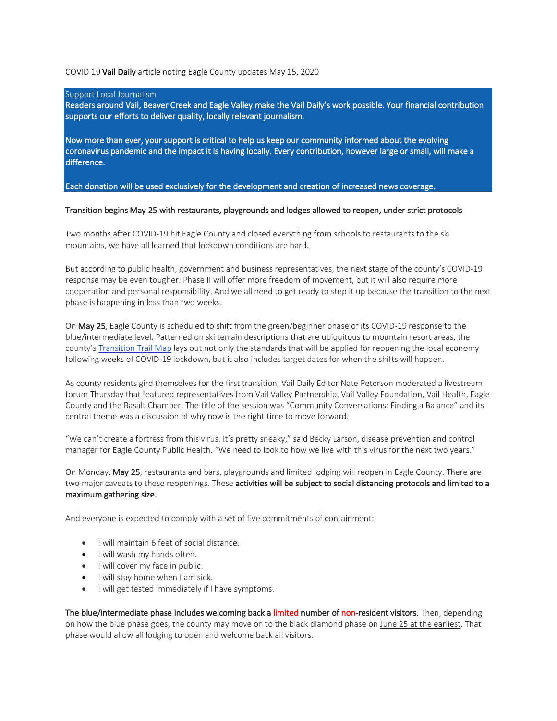## COVID 19 Vail Daily article noting Eagle County updates May 15, 2020

#### Support Local Journalism

Readers around Vail, Beaver Creek and Eagle Valley make the Vail Daily's work possible. Your financial contribution supports our efforts to deliver quality, locally relevant journalism.

Now more than ever, your support is critical to help us keep our community informed about the evolving coronavirus pandemic and the impact it is having locally. Every contribution, however large or small, will make a difference.

Each donation will be used exclusively for the development and creation of increased news coverage.

### Transition begins May 25 with restaurants, playgrounds and lodges allowed to reopen, under strict protocols

Two months after COVID-19 hit Eagle County and closed everything from schools to restaurants to the ski mountains, we have all learned that lockdown conditions are hard.

But according to public health, government and business representatives, the next stage of the county's COVID-19 response may be even tougher. Phase II will offer more freedom of movement, but it will also require more cooperation and personal responsibility. And we all need to get ready to step it up because the transition to the next phase is happening in less than two weeks.

On May 25, Eagle County is scheduled to shift from the green/beginner phase of its COVID-19 response to the blue/intermediate level. Patterned on ski terrain descriptions that are ubiquitous to mountain resort areas, the county's Transition Trail Map lays out not only the standards that will be applied for reopening the local economy following weeks of COVID-19 lockdown, but it also includes target dates for when the shifts will happen.

As county residents gird themselves for the first transition, Vail Daily Editor Nate Peterson moderated a livestream forum Thursday that featured representatives from Vail Valley Partnership, Vail Valley Foundation, Vail Health, Eagle County and the Basalt Chamber. The title of the session was "Community Conversations: Finding a Balance" and its central theme was a discussion of why now is the right time to move forward.

"We can't create a fortress from this virus. It's pretty sneaky," said Becky Larson, disease prevention and control manager for Eagle County Public Health. "We need to look to how we live with this virus for the next two years."

On Monday, May 25, restaurants and bars, playgrounds and limited lodging will reopen in Eagle County. There are two major caveats to these reopenings. These activities will be subject to social distancing protocols and limited to a maximum gathering size.

And everyone is expected to comply with a set of five commitments of containment:

- I will maintain 6 feet of social distance.
- I will wash my hands often.
- I will cover my face in public.
- I will stay home when I am sick.
- I will get tested immediately if I have symptoms.

The blue/intermediate phase includes welcoming back a limited number of non-resident visitors. Then, depending on how the blue phase goes, the county may move on to the black diamond phase on June 25 at the earliest. That phase would allow all lodging to open and welcome back all visitors.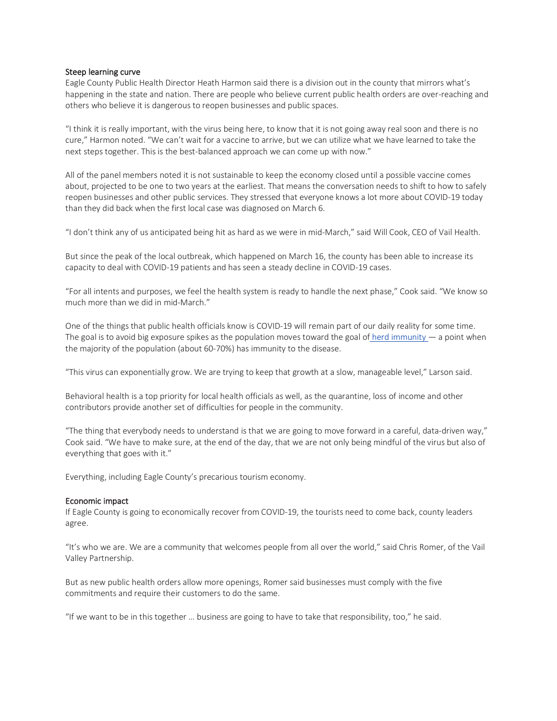## Steep learning curve

Eagle County Public Health Director Heath Harmon said there is a division out in the county that mirrors what's happening in the state and nation. There are people who believe current public health orders are over-reaching and others who believe it is dangerous to reopen businesses and public spaces.

"I think it is really important, with the virus being here, to know that it is not going away real soon and there is no cure," Harmon noted. "We can't wait for a vaccine to arrive, but we can utilize what we have learned to take the next steps together. This is the best-balanced approach we can come up with now."

All of the panel members noted it is not sustainable to keep the economy closed until a possible vaccine comes about, projected to be one to two years at the earliest. That means the conversation needs to shift to how to safely reopen businesses and other public services. They stressed that everyone knows a lot more about COVID-19 today than they did back when the first local case was diagnosed on March 6.

"I don't think any of us anticipated being hit as hard as we were in mid-March," said Will Cook, CEO of Vail Health.

But since the peak of the local outbreak, which happened on March 16, the county has been able to increase its capacity to deal with COVID-19 patients and has seen a steady decline in COVID-19 cases.

"For all intents and purposes, we feel the health system is ready to handle the next phase," Cook said. "We know so much more than we did in mid-March."

One of the things that public health officials know is COVID-19 will remain part of our daily reality for some time. The goal is to avoid big exposure spikes as the population moves toward the goal of herd immunity  $-$  a point when the majority of the population (about 60-70%) has immunity to the disease.

"This virus can exponentially grow. We are trying to keep that growth at a slow, manageable level," Larson said.

Behavioral health is a top priority for local health officials as well, as the quarantine, loss of income and other contributors provide another set of difficulties for people in the community.

"The thing that everybody needs to understand is that we are going to move forward in a careful, data-driven way," Cook said. "We have to make sure, at the end of the day, that we are not only being mindful of the virus but also of everything that goes with it."

Everything, including Eagle County's precarious tourism economy.

#### Economic impact

If Eagle County is going to economically recover from COVID-19, the tourists need to come back, county leaders agree.

"It's who we are. We are a community that welcomes people from all over the world," said Chris Romer, of the Vail Valley Partnership.

But as new public health orders allow more openings, Romer said businesses must comply with the five commitments and require their customers to do the same.

"If we want to be in this together … business are going to have to take that responsibility, too," he said.